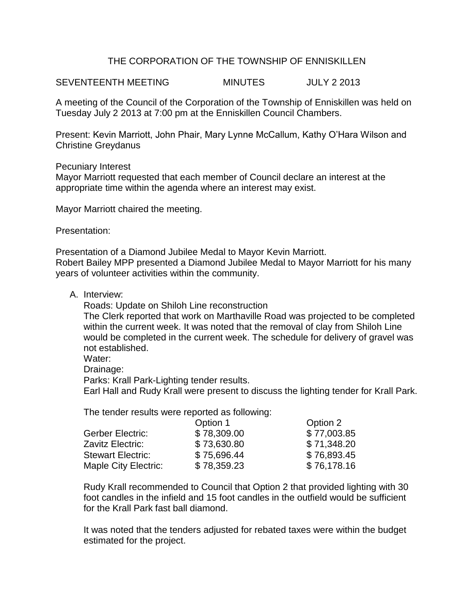## THE CORPORATION OF THE TOWNSHIP OF ENNISKILLEN

SEVENTEENTH MEETING MINUTES JULY 2 2013

A meeting of the Council of the Corporation of the Township of Enniskillen was held on Tuesday July 2 2013 at 7:00 pm at the Enniskillen Council Chambers.

Present: Kevin Marriott, John Phair, Mary Lynne McCallum, Kathy O'Hara Wilson and Christine Greydanus

Pecuniary Interest

Mayor Marriott requested that each member of Council declare an interest at the appropriate time within the agenda where an interest may exist.

Mayor Marriott chaired the meeting.

Presentation:

Presentation of a Diamond Jubilee Medal to Mayor Kevin Marriott. Robert Bailey MPP presented a Diamond Jubilee Medal to Mayor Marriott for his many years of volunteer activities within the community.

A. Interview:

Roads: Update on Shiloh Line reconstruction

The Clerk reported that work on Marthaville Road was projected to be completed within the current week. It was noted that the removal of clay from Shiloh Line would be completed in the current week. The schedule for delivery of gravel was not established.

Water:

Drainage:

Parks: Krall Park-Lighting tender results.

Earl Hall and Rudy Krall were present to discuss the lighting tender for Krall Park.

The tender results were reported as following:

|                             | Option 1    | Option 2    |
|-----------------------------|-------------|-------------|
| Gerber Electric:            | \$78,309.00 | \$77,003.85 |
| Zavitz Electric:            | \$73,630.80 | \$71,348.20 |
| <b>Stewart Electric:</b>    | \$75,696.44 | \$76,893.45 |
| <b>Maple City Electric:</b> | \$78,359.23 | \$76,178.16 |

Rudy Krall recommended to Council that Option 2 that provided lighting with 30 foot candles in the infield and 15 foot candles in the outfield would be sufficient for the Krall Park fast ball diamond.

It was noted that the tenders adjusted for rebated taxes were within the budget estimated for the project.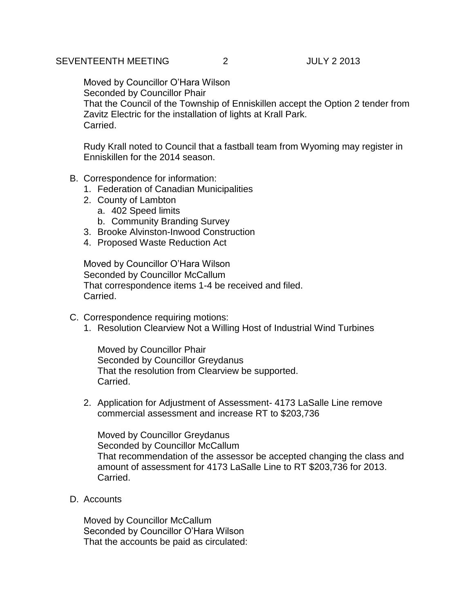## SEVENTEENTH MEETING 2 JULY 2 2013

Moved by Councillor O'Hara Wilson Seconded by Councillor Phair That the Council of the Township of Enniskillen accept the Option 2 tender from Zavitz Electric for the installation of lights at Krall Park. Carried.

Rudy Krall noted to Council that a fastball team from Wyoming may register in Enniskillen for the 2014 season.

- B. Correspondence for information:
	- 1. Federation of Canadian Municipalities
	- 2. County of Lambton
		- a. 402 Speed limits
		- b. Community Branding Survey
	- 3. Brooke Alvinston-Inwood Construction
	- 4. Proposed Waste Reduction Act

Moved by Councillor O'Hara Wilson Seconded by Councillor McCallum That correspondence items 1-4 be received and filed. Carried.

- C. Correspondence requiring motions:
	- 1. Resolution Clearview Not a Willing Host of Industrial Wind Turbines

Moved by Councillor Phair Seconded by Councillor Greydanus That the resolution from Clearview be supported. Carried.

2. Application for Adjustment of Assessment- 4173 LaSalle Line remove commercial assessment and increase RT to \$203,736

Moved by Councillor Greydanus Seconded by Councillor McCallum That recommendation of the assessor be accepted changing the class and amount of assessment for 4173 LaSalle Line to RT \$203,736 for 2013. Carried.

D. Accounts

Moved by Councillor McCallum Seconded by Councillor O'Hara Wilson That the accounts be paid as circulated: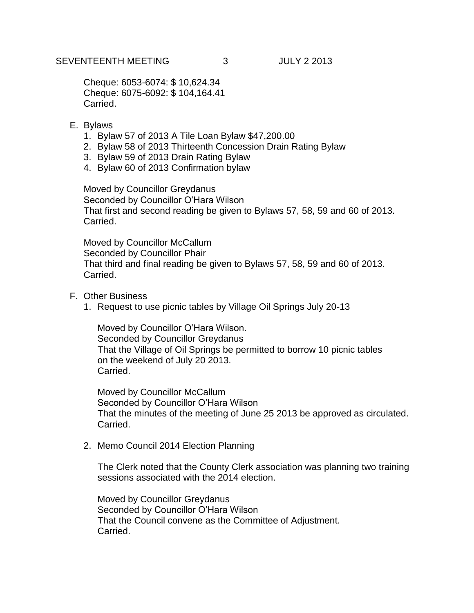Cheque: 6053-6074: \$ 10,624.34 Cheque: 6075-6092: \$ 104,164.41 Carried.

- E. Bylaws
	- 1. Bylaw 57 of 2013 A Tile Loan Bylaw \$47,200.00
	- 2. Bylaw 58 of 2013 Thirteenth Concession Drain Rating Bylaw
	- 3. Bylaw 59 of 2013 Drain Rating Bylaw
	- 4. Bylaw 60 of 2013 Confirmation bylaw

Moved by Councillor Greydanus Seconded by Councillor O'Hara Wilson That first and second reading be given to Bylaws 57, 58, 59 and 60 of 2013. Carried.

Moved by Councillor McCallum Seconded by Councillor Phair That third and final reading be given to Bylaws 57, 58, 59 and 60 of 2013. Carried.

- F. Other Business
	- 1. Request to use picnic tables by Village Oil Springs July 20-13

Moved by Councillor O'Hara Wilson. Seconded by Councillor Greydanus That the Village of Oil Springs be permitted to borrow 10 picnic tables on the weekend of July 20 2013. Carried.

Moved by Councillor McCallum Seconded by Councillor O'Hara Wilson That the minutes of the meeting of June 25 2013 be approved as circulated. Carried.

2. Memo Council 2014 Election Planning

The Clerk noted that the County Clerk association was planning two training sessions associated with the 2014 election.

Moved by Councillor Greydanus Seconded by Councillor O'Hara Wilson That the Council convene as the Committee of Adjustment. Carried.